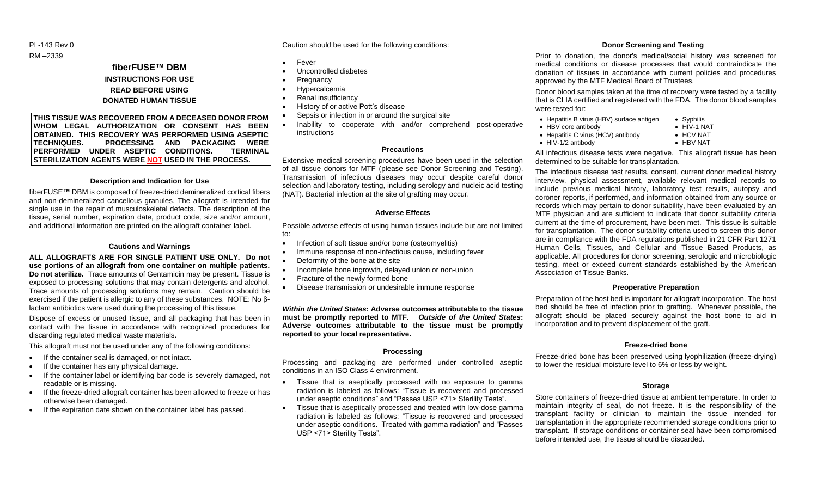PI -143 Rev 0 RM –2339

> **fiberFUSE™ DBM INSTRUCTIONS FOR USE READ BEFORE USING DONATED HUMAN TISSUE**

**THIS TISSUE WAS RECOVERED FROM A DECEASED DONOR FROM WHOM LEGAL AUTHORIZATION OR CONSENT HAS BEEN OBTAINED. THIS RECOVERY WAS PERFORMED USING ASEPTIC TECHNIQUES. PROCESSING AND PACKAGING WERE PERFORMED UNDER ASEPTIC CONDITIONS. TERMINAL STERILIZATION AGENTS WERE NOT USED IN THE PROCESS.**

#### **Description and Indication for Use**

fiberFUSE**™** DBM is composed of freeze-dried demineralized cortical fibers and non-demineralized cancellous granules. The allograft is intended for single use in the repair of musculoskeletal defects. The description of the tissue, serial number, expiration date, product code, size and/or amount, and additional information are printed on the allograft container label.

#### **Cautions and Warnings**

# **ALL ALLOGRAFTS ARE FOR SINGLE PATIENT USE ONLY. Do not use portions of an allograft from one container on multiple patients. Do not sterilize.** Trace amounts of Gentamicin may be present. Tissue is exposed to processing solutions that may contain detergents and alcohol. Trace amounts of processing solutions may remain. Caution should be exercised if the patient is allergic to any of these substances. NOTE: No β-

lactam antibiotics were used during the processing of this tissue. Dispose of excess or unused tissue, and all packaging that has been in contact with the tissue in accordance with recognized procedures for discarding regulated medical waste materials.

This allograft must not be used under any of the following conditions:

- If the container seal is damaged, or not intact.
- $\bullet$  If the container has any physical damage.
- If the container label or identifying bar code is severely damaged, not readable or is missing.
- If the freeze-dried allograft container has been allowed to freeze or has otherwise been damaged.
- If the expiration date shown on the container label has passed.

Caution should be used for the following conditions:

- Fever
- Uncontrolled diabetes
- **Pregnancy**
- Hypercalcemia
- Renal insufficiency
- 
- Sepsis or infection in or around the surgical site
- Inability to cooperate with and/or comprehend post-operative instructions

# **Precautions**

Extensive medical screening procedures have been used in the selection of all tissue donors for MTF (please see Donor Screening and Testing). Transmission of infectious diseases may occur despite careful donor selection and laboratory testing, including serology and nucleic acid testing (NAT). Bacterial infection at the site of grafting may occur.

#### **Adverse Effects**

Possible adverse effects of using human tissues include but are not limited to:

- Infection of soft tissue and/or bone (osteomyelitis)
- Immune response of non-infectious cause, including fever
- Deformity of the bone at the site
- Incomplete bone ingrowth, delayed union or non-union
- Fracture of the newly formed bone
- Disease transmission or undesirable immune response

*Within the United States***: Adverse outcomes attributable to the tissue must be promptly reported to MTF.** *Outside of the United States***: Adverse outcomes attributable to the tissue must be promptly reported to your local representative.**

### **Processing**

Processing and packaging are performed under controlled aseptic conditions in an ISO Class 4 environment.

- Tissue that is aseptically processed with no exposure to gamma radiation is labeled as follows: "Tissue is recovered and processed under aseptic conditions" and "Passes USP <71> Sterility Tests".
- Tissue that is aseptically processed and treated with low-dose gamma radiation is labeled as follows: "Tissue is recovered and processed under aseptic conditions. Treated with gamma radiation" and "Passes USP <71> Sterility Tests".

# **Donor Screening and Testing**

Prior to donation, the donor's medical/social history was screened for medical conditions or disease processes that would contraindicate the donation of tissues in accordance with current policies and procedures approved by the MTF Medical Board of Trustees.

Donor blood samples taken at the time of recovery were tested by a facility that is CLIA certified and registered with the FDA. The donor blood samples were tested for:

- Hepatitis B virus (HBV) surface antigen Syphilis
- HBV core antibody HIV-1 NAT
- Hepatitis C virus (HCV) antibody HCV NAT<br>- HIV-1/2 antibody HBV NAT
- $\bullet$  HIV-1/2 antibody

All infectious disease tests were negative. This allograft tissue has been determined to be suitable for transplantation.

The infectious disease test results, consent, current donor medical history interview, physical assessment, available relevant medical records to include previous medical history, laboratory test results, autopsy and coroner reports, if performed, and information obtained from any source or records which may pertain to donor suitability, have been evaluated by an MTF physician and are sufficient to indicate that donor suitability criteria current at the time of procurement, have been met. This tissue is suitable for transplantation. The donor suitability criteria used to screen this donor are in compliance with the FDA regulations published in 21 CFR Part 1271 Human Cells, Tissues, and Cellular and Tissue Based Products, as applicable. All procedures for donor screening, serologic and microbiologic testing, meet or exceed current standards established by the American Association of Tissue Banks.

#### **Preoperative Preparation**

Preparation of the host bed is important for allograft incorporation. The host bed should be free of infection prior to grafting. Whenever possible, the allograft should be placed securely against the host bone to aid in incorporation and to prevent displacement of the graft.

### **Freeze-dried bone**

Freeze-dried bone has been preserved using lyophilization (freeze-drying) to lower the residual moisture level to 6% or less by weight.

### **Storage**

Store containers of freeze-dried tissue at ambient temperature. In order to maintain integrity of seal, do not freeze. It is the responsibility of the transplant facility or clinician to maintain the tissue intended for transplantation in the appropriate recommended storage conditions prior to transplant. If storage conditions or container seal have been compromised before intended use, the tissue should be discarded.

# History of or active Pott's disease